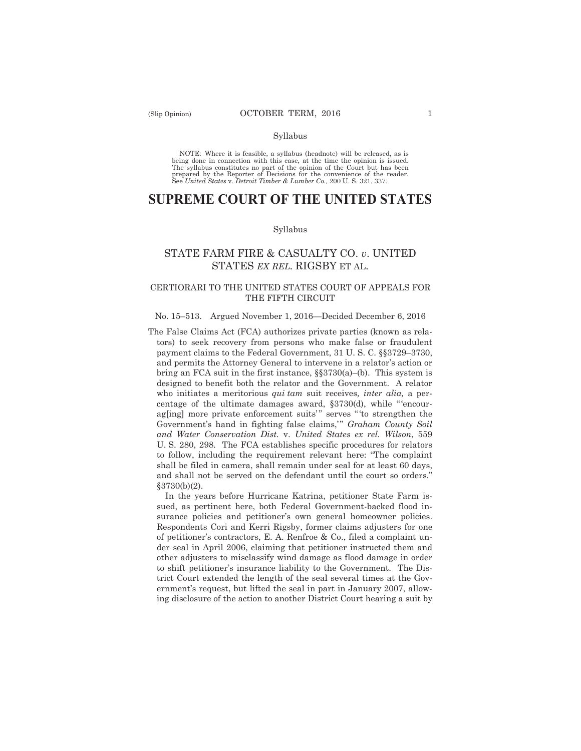#### Syllabus

NOTE: Where it is feasible, a syllabus (headnote) will be released, as is being done in connection with this case, at the time the opinion is issued. The syllabus constitutes no part of the opinion of the Court but has been<br>prepared by the Reporter of Decisions for the convenience of the reader.<br>See United States v. Detroit Timber & Lumber Co., 200 U. S. 321, 337.

# **SUPREME COURT OF THE UNITED STATES**

#### Syllabus

## STATE FARM FIRE & CASUALTY CO. *v*. UNITED STATES *EX REL.* RIGSBY ET AL.

## CERTIORARI TO THE UNITED STATES COURT OF APPEALS FOR THE FIFTH CIRCUIT

#### No. 15–513. Argued November 1, 2016—Decided December 6, 2016

The False Claims Act (FCA) authorizes private parties (known as relators) to seek recovery from persons who make false or fraudulent payment claims to the Federal Government, 31 U. S. C. §§3729–3730, and permits the Attorney General to intervene in a relator's action or bring an FCA suit in the first instance, §§3730(a)–(b). This system is designed to benefit both the relator and the Government. A relator who initiates a meritorious *qui tam* suit receives*, inter alia,* a percentage of the ultimate damages award, §3730(d), while "'encourag[ing] more private enforcement suits'" serves "to strengthen the Government's hand in fighting false claims," *Graham County Soil and Water Conservation Dist.* v. *United States ex rel. Wilson*, 559 U. S. 280, 298. The FCA establishes specific procedures for relators to follow, including the requirement relevant here: "The complaint shall be filed in camera, shall remain under seal for at least 60 days, and shall not be served on the defendant until the court so orders." §3730(b)(2).

In the years before Hurricane Katrina, petitioner State Farm issued, as pertinent here, both Federal Government-backed flood insurance policies and petitioner's own general homeowner policies. Respondents Cori and Kerri Rigsby, former claims adjusters for one of petitioner's contractors, E. A. Renfroe & Co., filed a complaint under seal in April 2006, claiming that petitioner instructed them and other adjusters to misclassify wind damage as flood damage in order to shift petitioner's insurance liability to the Government. The District Court extended the length of the seal several times at the Government's request, but lifted the seal in part in January 2007, allowing disclosure of the action to another District Court hearing a suit by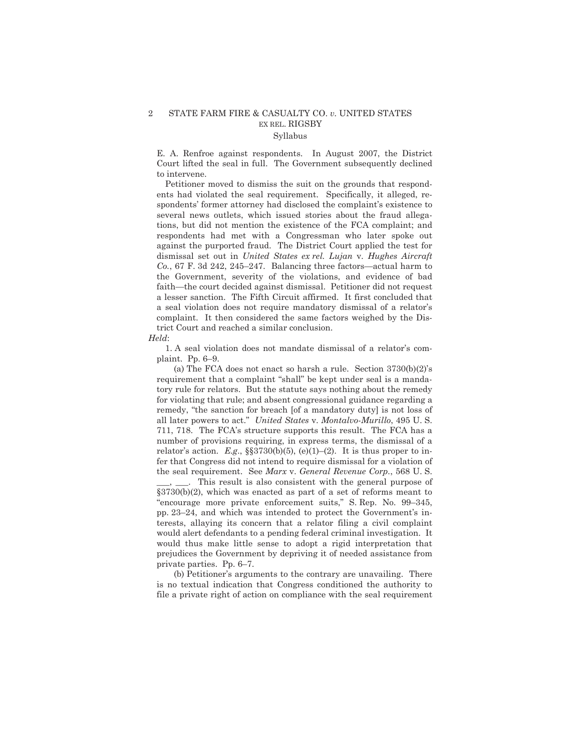### 2 STATE FARM FIRE & CASUALTY CO. *v.* UNITED STATES EX REL. RIGSBY Syllabus

E. A. Renfroe against respondents. In August 2007, the District Court lifted the seal in full. The Government subsequently declined to intervene.

Petitioner moved to dismiss the suit on the grounds that respondents had violated the seal requirement. Specifically, it alleged, respondents' former attorney had disclosed the complaint's existence to several news outlets, which issued stories about the fraud allegations, but did not mention the existence of the FCA complaint; and respondents had met with a Congressman who later spoke out against the purported fraud. The District Court applied the test for dismissal set out in *United States ex rel. Lujan* v. *Hughes Aircraft Co.*, 67 F. 3d 242, 245–247. Balancing three factors—actual harm to the Government, severity of the violations, and evidence of bad faith—the court decided against dismissal. Petitioner did not request a lesser sanction. The Fifth Circuit affirmed. It first concluded that a seal violation does not require mandatory dismissal of a relator's complaint. It then considered the same factors weighed by the District Court and reached a similar conclusion.

*Held*:

1. A seal violation does not mandate dismissal of a relator's complaint. Pp. 6–9.

(a) The FCA does not enact so harsh a rule. Section 3730(b)(2)'s requirement that a complaint "shall" be kept under seal is a mandatory rule for relators. But the statute says nothing about the remedy for violating that rule; and absent congressional guidance regarding a remedy, "the sanction for breach [of a mandatory duty] is not loss of all later powers to act." *United States* v. *Montalvo-Murillo*, 495 U. S. 711, 718. The FCA's structure supports this result. The FCA has a number of provisions requiring, in express terms, the dismissal of a relator's action. *E.g.*,  $\S$  $\S$ 3730(b)(5), (e)(1)–(2). It is thus proper to infer that Congress did not intend to require dismissal for a violation of the seal requirement. See *Marx* v. *General Revenue Corp.*, 568 U. S.

This result is also consistent with the general purpose of §3730(b)(2), which was enacted as part of a set of reforms meant to "encourage more private enforcement suits," S. Rep. No. 99–345, pp. 23–24, and which was intended to protect the Government's interests, allaying its concern that a relator filing a civil complaint would alert defendants to a pending federal criminal investigation. It would thus make little sense to adopt a rigid interpretation that prejudices the Government by depriving it of needed assistance from private parties. Pp. 6–7.

(b) Petitioner's arguments to the contrary are unavailing. There is no textual indication that Congress conditioned the authority to file a private right of action on compliance with the seal requirement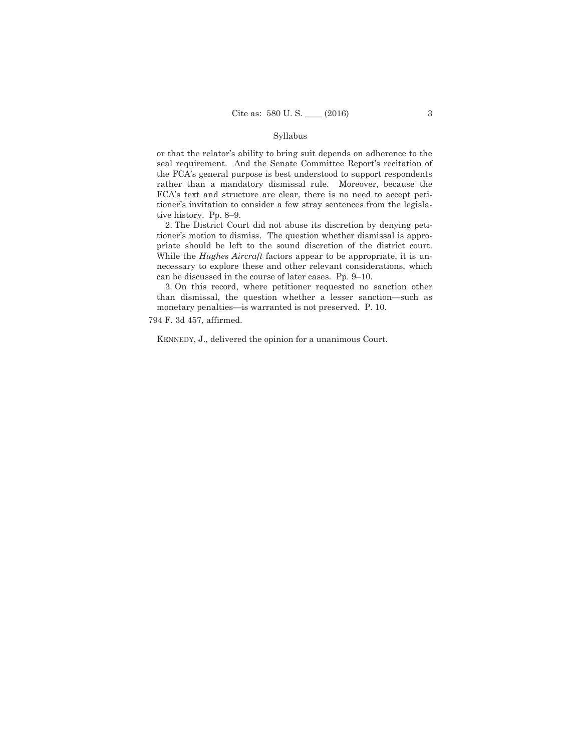#### Syllabus

or that the relator's ability to bring suit depends on adherence to the seal requirement. And the Senate Committee Report's recitation of the FCA's general purpose is best understood to support respondents rather than a mandatory dismissal rule. Moreover, because the FCA's text and structure are clear, there is no need to accept petitioner's invitation to consider a few stray sentences from the legislative history. Pp. 8–9.

2. The District Court did not abuse its discretion by denying petitioner's motion to dismiss. The question whether dismissal is appropriate should be left to the sound discretion of the district court. While the *Hughes Aircraft* factors appear to be appropriate, it is unnecessary to explore these and other relevant considerations, which can be discussed in the course of later cases. Pp. 9–10.

3. On this record, where petitioner requested no sanction other than dismissal, the question whether a lesser sanction—such as monetary penalties—is warranted is not preserved. P. 10.

794 F. 3d 457, affirmed.

KENNEDY, J., delivered the opinion for a unanimous Court.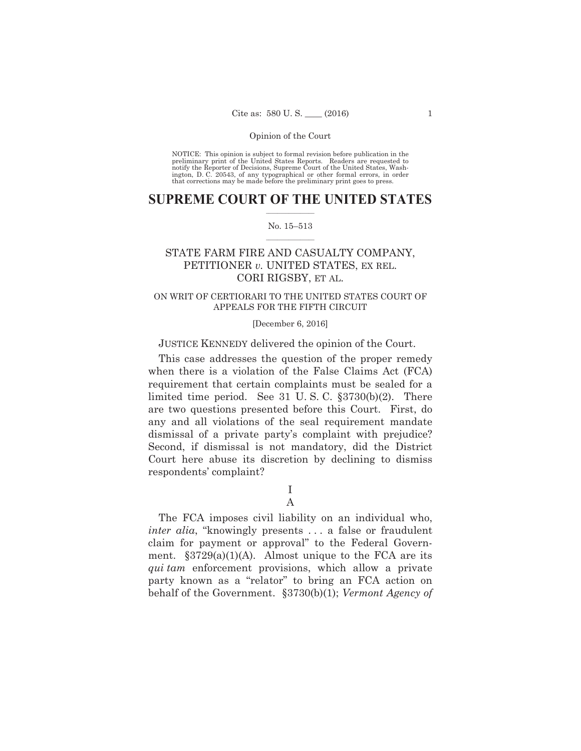NOTICE: This opinion is subject to formal revision before publication in the preliminary print of the United States Reports. Readers are requested to notify the Reporter of Decisions, Supreme Court of the United States, Washington, D. C. 20543, of any typographical or other formal errors, in order that corrections may be made before the preliminary print goes to press.

### $\frac{1}{2}$  ,  $\frac{1}{2}$  ,  $\frac{1}{2}$  ,  $\frac{1}{2}$  ,  $\frac{1}{2}$  ,  $\frac{1}{2}$  ,  $\frac{1}{2}$ **SUPREME COURT OF THE UNITED STATES**

#### $\frac{1}{2}$  ,  $\frac{1}{2}$  ,  $\frac{1}{2}$  ,  $\frac{1}{2}$  ,  $\frac{1}{2}$  ,  $\frac{1}{2}$ No. 15–513

## STATE FARM FIRE AND CASUALTY COMPANY, PETITIONER *v.* UNITED STATES, EX REL. CORI RIGSBY, ET AL.

## ON WRIT OF CERTIORARI TO THE UNITED STATES COURT OF APPEALS FOR THE FIFTH CIRCUIT

#### [December 6, 2016]

## JUSTICE KENNEDY delivered the opinion of the Court.

This case addresses the question of the proper remedy when there is a violation of the False Claims Act (FCA) requirement that certain complaints must be sealed for a limited time period. See 31 U. S. C. §3730(b)(2). There are two questions presented before this Court. First, do any and all violations of the seal requirement mandate dismissal of a private party's complaint with prejudice? Second, if dismissal is not mandatory, did the District Court here abuse its discretion by declining to dismiss respondents' complaint?

> I A

The FCA imposes civil liability on an individual who, *inter alia*, "knowingly presents . . . a false or fraudulent claim for payment or approval" to the Federal Government.  $\S 3729(a)(1)(A)$ . Almost unique to the FCA are its *qui tam* enforcement provisions, which allow a private party known as a "relator" to bring an FCA action on behalf of the Government. §3730(b)(1); *Vermont Agency of*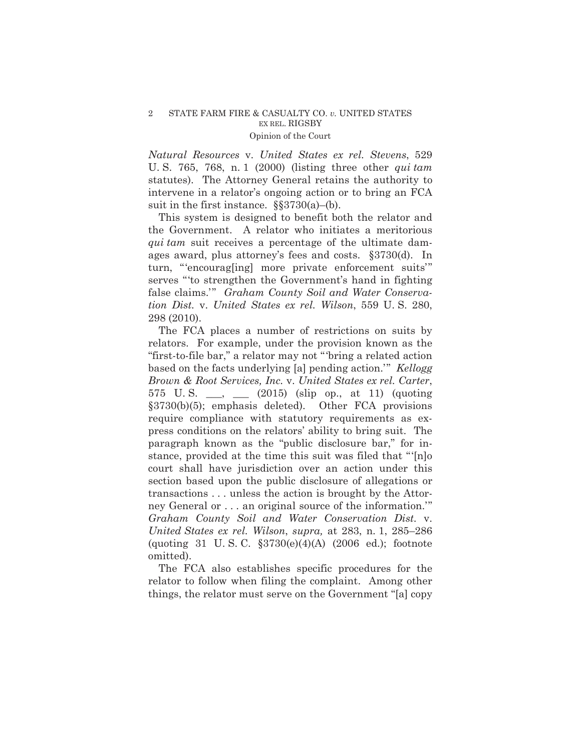*Natural Resources* v. *United States ex rel. Stevens*, 529 U. S. 765, 768, n. 1 (2000) (listing three other *qui tam* statutes). The Attorney General retains the authority to intervene in a relator's ongoing action or to bring an FCA suit in the first instance.  $\S$ §3730(a)–(b).

This system is designed to benefit both the relator and the Government. A relator who initiates a meritorious *qui tam* suit receives a percentage of the ultimate damages award, plus attorney's fees and costs. §3730(d). In turn, "'encourag[ing] more private enforcement suits'" serves "'to strengthen the Government's hand in fighting false claims.'" *Graham County Soil and Water Conservation Dist.* v. *United States ex rel. Wilson*, 559 U. S. 280, 298 (2010).

The FCA places a number of restrictions on suits by relators. For example, under the provision known as the "first-to-file bar," a relator may not "'bring a related action based on the facts underlying [a] pending action.'" *Kellogg Brown & Root Services, Inc.* v. *United States ex rel. Carter*, 575 U. S. \_\_\_, \_\_\_ (2015) (slip op., at 11) (quoting §3730(b)(5); emphasis deleted). Other FCA provisions require compliance with statutory requirements as express conditions on the relators' ability to bring suit. The paragraph known as the "public disclosure bar," for instance, provided at the time this suit was filed that "'[n]o court shall have jurisdiction over an action under this section based upon the public disclosure of allegations or transactions . . . unless the action is brought by the Attorney General or . . . an original source of the information.'" *Graham County Soil and Water Conservation Dist.* v. *United States ex rel. Wilson*, *supra,* at 283, n. 1, 285–286 (quoting 31 U. S. C. §3730(e)(4)(A) (2006 ed.); footnote omitted).

The FCA also establishes specific procedures for the relator to follow when filing the complaint. Among other things, the relator must serve on the Government "[a] copy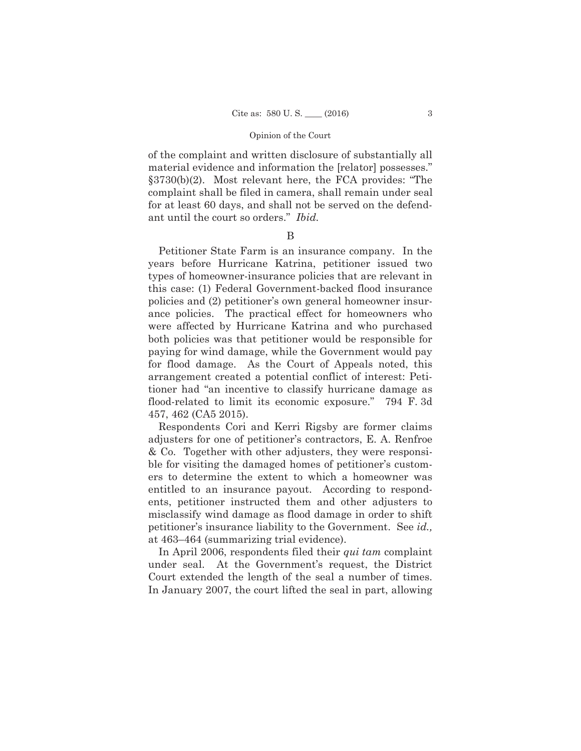of the complaint and written disclosure of substantially all material evidence and information the [relator] possesses." §3730(b)(2). Most relevant here, the FCA provides: "The complaint shall be filed in camera, shall remain under seal for at least 60 days, and shall not be served on the defendant until the court so orders." *Ibid.* 

## B

Petitioner State Farm is an insurance company. In the years before Hurricane Katrina, petitioner issued two types of homeowner-insurance policies that are relevant in this case: (1) Federal Government-backed flood insurance policies and (2) petitioner's own general homeowner insurance policies. The practical effect for homeowners who were affected by Hurricane Katrina and who purchased both policies was that petitioner would be responsible for paying for wind damage, while the Government would pay for flood damage. As the Court of Appeals noted, this arrangement created a potential conflict of interest: Petitioner had "an incentive to classify hurricane damage as flood-related to limit its economic exposure." 794 F. 3d 457, 462 (CA5 2015).

Respondents Cori and Kerri Rigsby are former claims adjusters for one of petitioner's contractors, E. A. Renfroe & Co. Together with other adjusters, they were responsible for visiting the damaged homes of petitioner's customers to determine the extent to which a homeowner was entitled to an insurance payout. According to respondents, petitioner instructed them and other adjusters to misclassify wind damage as flood damage in order to shift petitioner's insurance liability to the Government. See *id.,*  at 463–464 (summarizing trial evidence).

In April 2006, respondents filed their *qui tam* complaint under seal. At the Government's request, the District Court extended the length of the seal a number of times. In January 2007, the court lifted the seal in part, allowing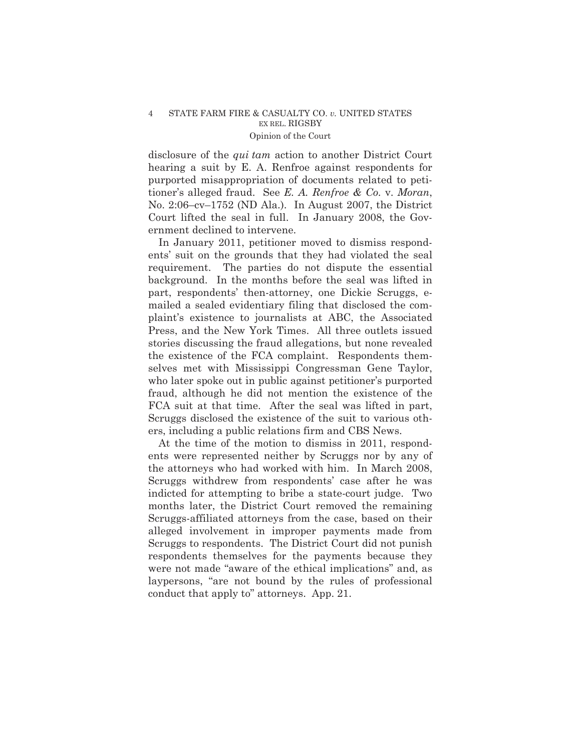disclosure of the *qui tam* action to another District Court hearing a suit by E. A. Renfroe against respondents for purported misappropriation of documents related to petitioner's alleged fraud. See *E. A. Renfroe & Co.* v. *Moran*, No. 2:06–cv–1752 (ND Ala.). In August 2007, the District Court lifted the seal in full. In January 2008, the Government declined to intervene.

In January 2011, petitioner moved to dismiss respondents' suit on the grounds that they had violated the seal requirement. The parties do not dispute the essential background. In the months before the seal was lifted in part, respondents' then-attorney, one Dickie Scruggs, emailed a sealed evidentiary filing that disclosed the complaint's existence to journalists at ABC, the Associated Press, and the New York Times. All three outlets issued stories discussing the fraud allegations, but none revealed the existence of the FCA complaint. Respondents themselves met with Mississippi Congressman Gene Taylor, who later spoke out in public against petitioner's purported fraud, although he did not mention the existence of the FCA suit at that time. After the seal was lifted in part, Scruggs disclosed the existence of the suit to various others, including a public relations firm and CBS News.

At the time of the motion to dismiss in 2011, respondents were represented neither by Scruggs nor by any of the attorneys who had worked with him. In March 2008, Scruggs withdrew from respondents' case after he was indicted for attempting to bribe a state-court judge. Two months later, the District Court removed the remaining Scruggs-affiliated attorneys from the case, based on their alleged involvement in improper payments made from Scruggs to respondents. The District Court did not punish respondents themselves for the payments because they were not made "aware of the ethical implications" and, as laypersons, "are not bound by the rules of professional conduct that apply to" attorneys. App. 21.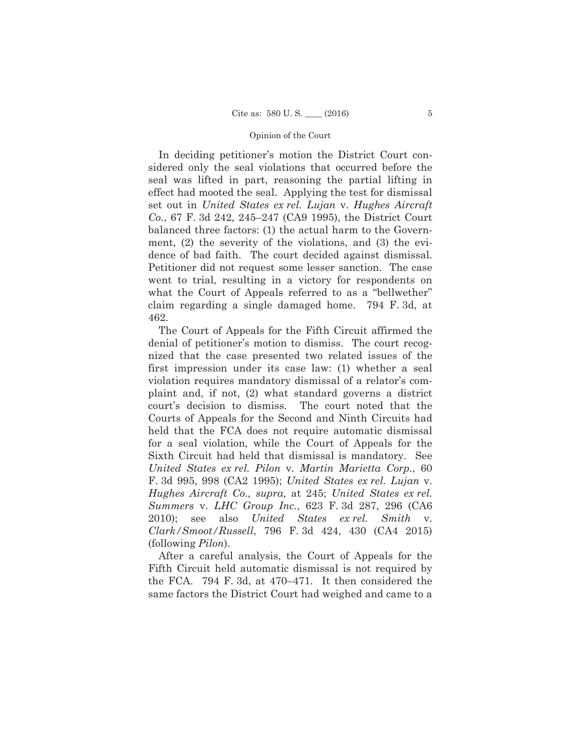In deciding petitioner's motion the District Court considered only the seal violations that occurred before the seal was lifted in part, reasoning the partial lifting in effect had mooted the seal. Applying the test for dismissal set out in *United States ex rel. Lujan* v. *Hughes Aircraft Co.*, 67 F. 3d 242, 245–247 (CA9 1995), the District Court balanced three factors: (1) the actual harm to the Government, (2) the severity of the violations, and (3) the evidence of bad faith. The court decided against dismissal. Petitioner did not request some lesser sanction. The case went to trial, resulting in a victory for respondents on what the Court of Appeals referred to as a "bellwether" claim regarding a single damaged home. 794 F. 3d, at 462.

The Court of Appeals for the Fifth Circuit affirmed the denial of petitioner's motion to dismiss. The court recognized that the case presented two related issues of the first impression under its case law: (1) whether a seal violation requires mandatory dismissal of a relator's complaint and, if not, (2) what standard governs a district court's decision to dismiss. The court noted that the Courts of Appeals for the Second and Ninth Circuits had held that the FCA does not require automatic dismissal for a seal violation, while the Court of Appeals for the Sixth Circuit had held that dismissal is mandatory. See *United States ex rel. Pilon* v. *Martin Marietta Corp.*, 60 F. 3d 995, 998 (CA2 1995); *United States ex rel. Lujan* v. *Hughes Aircraft Co., supra,* at 245; *United States ex rel. Summers* v. *LHC Group Inc.*, 623 F. 3d 287, 296 (CA6 2010); see also *United States ex rel. Smith* v. *Clark/Smoot/Russell*, 796 F. 3d 424, 430 (CA4 2015) (following *Pilon*).

After a careful analysis, the Court of Appeals for the Fifth Circuit held automatic dismissal is not required by the FCA. 794 F. 3d, at 470–471. It then considered the same factors the District Court had weighed and came to a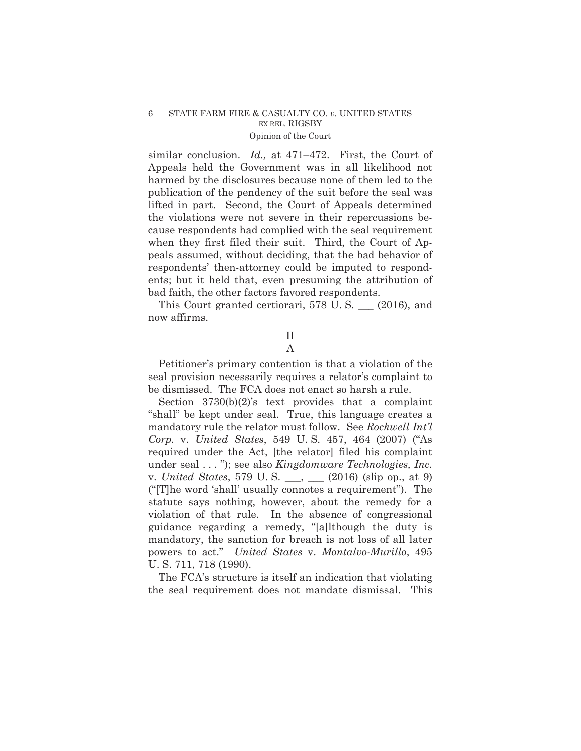similar conclusion. *Id.,* at 471–472. First, the Court of Appeals held the Government was in all likelihood not harmed by the disclosures because none of them led to the publication of the pendency of the suit before the seal was lifted in part. Second, the Court of Appeals determined the violations were not severe in their repercussions because respondents had complied with the seal requirement when they first filed their suit. Third, the Court of Appeals assumed, without deciding, that the bad behavior of respondents' then-attorney could be imputed to respondents; but it held that, even presuming the attribution of bad faith, the other factors favored respondents.

This Court granted certiorari, 578 U. S. \_\_\_ (2016), and now affirms.

## II A

Petitioner's primary contention is that a violation of the seal provision necessarily requires a relator's complaint to be dismissed. The FCA does not enact so harsh a rule.

Section 3730(b)(2)'s text provides that a complaint "shall" be kept under seal. True, this language creates a mandatory rule the relator must follow. See *Rockwell Int'l Corp.* v. *United States*, 549 U. S. 457, 464 (2007) ("As required under the Act, [the relator] filed his complaint under seal . . . "); see also *Kingdomware Technologies, Inc.*  v. *United States*, 579 U. S. \_\_\_, \_\_\_ (2016) (slip op., at 9) ("[T]he word 'shall' usually connotes a requirement"). The statute says nothing, however, about the remedy for a violation of that rule. In the absence of congressional guidance regarding a remedy, "[a]lthough the duty is mandatory, the sanction for breach is not loss of all later powers to act." *United States* v. *Montalvo-Murillo*, 495 U. S. 711, 718 (1990).

The FCA's structure is itself an indication that violating the seal requirement does not mandate dismissal. This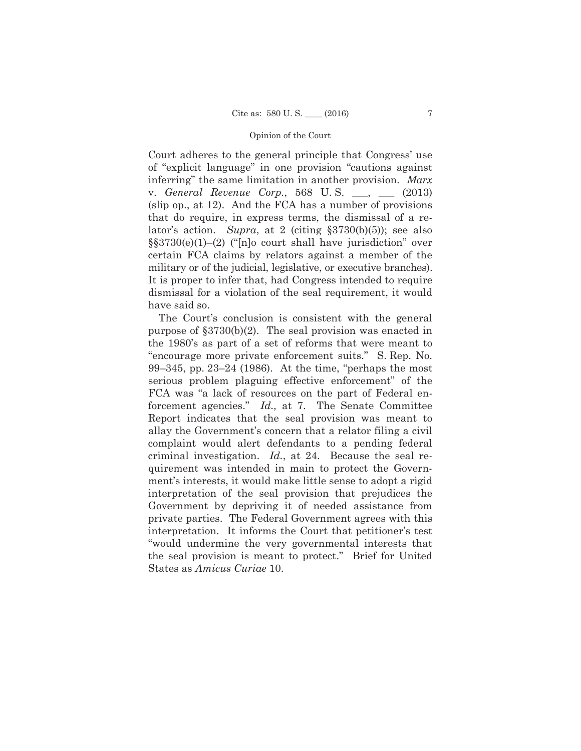Court adheres to the general principle that Congress' use of "explicit language" in one provision "cautions against inferring" the same limitation in another provision. *Marx*  v. *General Revenue Corp.*, 568 U. S. \_\_\_, \_\_\_ (2013) (slip op., at 12). And the FCA has a number of provisions that do require, in express terms, the dismissal of a relator's action. *Supra*, at 2 (citing §3730(b)(5)); see also §§3730(e)(1)–(2) ("[n]o court shall have jurisdiction" over certain FCA claims by relators against a member of the military or of the judicial, legislative, or executive branches). It is proper to infer that, had Congress intended to require dismissal for a violation of the seal requirement, it would have said so.

The Court's conclusion is consistent with the general purpose of §3730(b)(2). The seal provision was enacted in the 1980's as part of a set of reforms that were meant to "encourage more private enforcement suits." S. Rep. No. 99–345, pp. 23–24 (1986). At the time, "perhaps the most serious problem plaguing effective enforcement" of the FCA was "a lack of resources on the part of Federal enforcement agencies." *Id.,* at 7. The Senate Committee Report indicates that the seal provision was meant to allay the Government's concern that a relator filing a civil complaint would alert defendants to a pending federal criminal investigation. *Id.*, at 24. Because the seal requirement was intended in main to protect the Government's interests, it would make little sense to adopt a rigid interpretation of the seal provision that prejudices the Government by depriving it of needed assistance from private parties. The Federal Government agrees with this interpretation. It informs the Court that petitioner's test "would undermine the very governmental interests that the seal provision is meant to protect." Brief for United States as *Amicus Curiae* 10.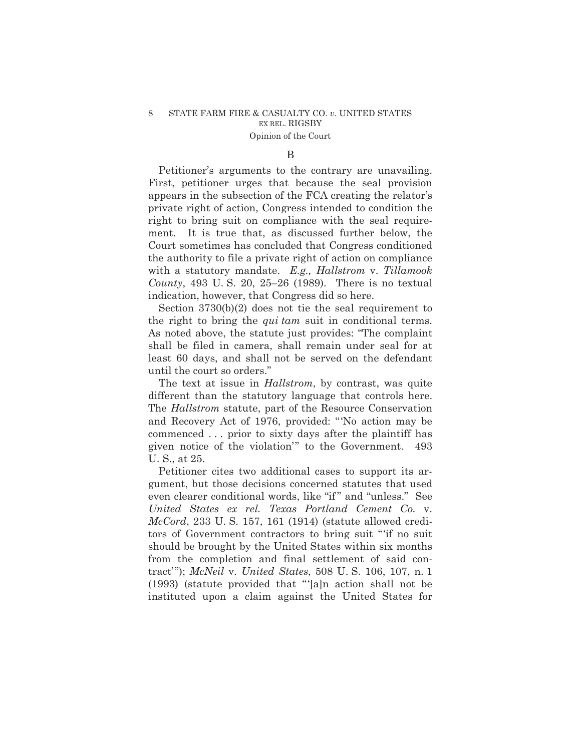#### B

Petitioner's arguments to the contrary are unavailing. First, petitioner urges that because the seal provision appears in the subsection of the FCA creating the relator's private right of action, Congress intended to condition the right to bring suit on compliance with the seal requirement. It is true that, as discussed further below, the Court sometimes has concluded that Congress conditioned the authority to file a private right of action on compliance with a statutory mandate. *E.g., Hallstrom* v. *Tillamook County*, 493 U. S. 20, 25–26 (1989). There is no textual indication, however, that Congress did so here.

Section 3730(b)(2) does not tie the seal requirement to the right to bring the *qui tam* suit in conditional terms. As noted above, the statute just provides: "The complaint shall be filed in camera, shall remain under seal for at least 60 days, and shall not be served on the defendant until the court so orders."

The text at issue in *Hallstrom*, by contrast, was quite different than the statutory language that controls here. The *Hallstrom* statute, part of the Resource Conservation and Recovery Act of 1976, provided: "'No action may be commenced . . . prior to sixty days after the plaintiff has given notice of the violation'" to the Government. 493 U. S., at 25.

Petitioner cites two additional cases to support its argument, but those decisions concerned statutes that used even clearer conditional words, like "if" and "unless." See *United States ex rel. Texas Portland Cement Co.* v. *McCord*, 233 U. S. 157, 161 (1914) (statute allowed creditors of Government contractors to bring suit "'if no suit should be brought by the United States within six months from the completion and final settlement of said contract'"); *McNeil* v. *United States*, 508 U. S. 106, 107, n. 1 (1993) (statute provided that "'[a]n action shall not be instituted upon a claim against the United States for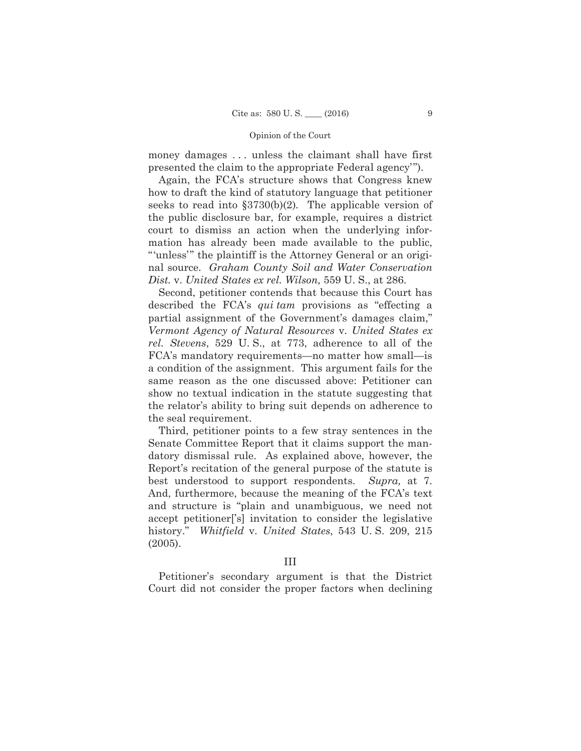money damages . . . unless the claimant shall have first presented the claim to the appropriate Federal agency'").

Again, the FCA's structure shows that Congress knew how to draft the kind of statutory language that petitioner seeks to read into §3730(b)(2)*.* The applicable version of the public disclosure bar, for example, requires a district court to dismiss an action when the underlying information has already been made available to the public, "'unless'" the plaintiff is the Attorney General or an original source. *Graham County Soil and Water Conservation Dist.* v. *United States ex rel. Wilson,* 559 U. S., at 286.

Second, petitioner contends that because this Court has described the FCA's *qui tam* provisions as "effecting a partial assignment of the Government's damages claim," *Vermont Agency of Natural Resources* v. *United States ex rel. Stevens*, 529 U. S., at 773, adherence to all of the FCA's mandatory requirements—no matter how small—is a condition of the assignment. This argument fails for the same reason as the one discussed above: Petitioner can show no textual indication in the statute suggesting that the relator's ability to bring suit depends on adherence to the seal requirement.

Third, petitioner points to a few stray sentences in the Senate Committee Report that it claims support the mandatory dismissal rule. As explained above, however, the Report's recitation of the general purpose of the statute is best understood to support respondents. *Supra,* at 7. And, furthermore, because the meaning of the FCA's text and structure is "plain and unambiguous, we need not accept petitioner['s] invitation to consider the legislative history." *Whitfield* v. *United States*, 543 U. S. 209, 215 (2005).

## III

Petitioner's secondary argument is that the District Court did not consider the proper factors when declining